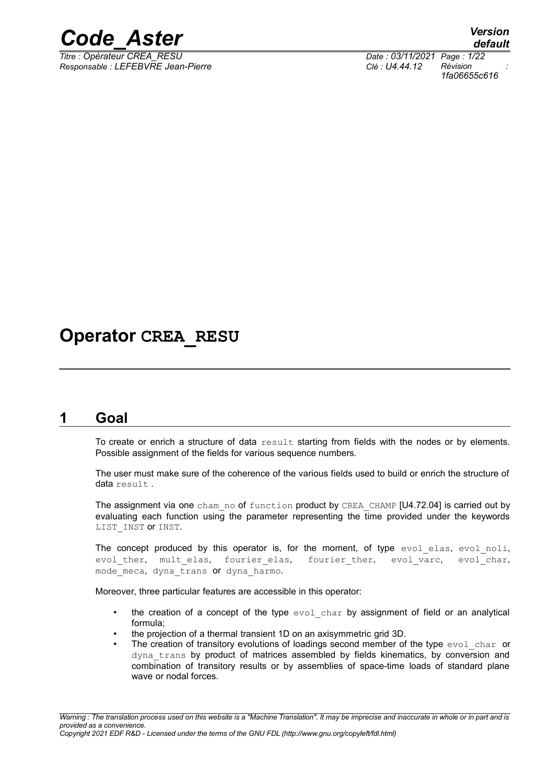

*Responsable : LEFEBVRE Jean-Pierre Clé : U4.44.12 Révision :*

*default Titre : Opérateur CREA\_RESU Date : 03/11/2021 Page : 1/22 1fa06655c616*

## **Operator CREA\_RESU**

### **1 Goal**

To create or enrich a structure of data result starting from fields with the nodes or by elements. Possible assignment of the fields for various sequence numbers.

The user must make sure of the coherence of the various fields used to build or enrich the structure of data result .

The assignment via one cham no of function product by CREA\_CHAMP [U4.72.04] is carried out by evaluating each function using the parameter representing the time provided under the keywords LIST INST or INST.

The concept produced by this operator is, for the moment, of type evol elas, evol noli, evol ther, mult elas, fourier elas, fourier ther, evol varc, evol char, mode meca, dyna trans Or dyna harmo.

Moreover, three particular features are accessible in this operator:

- the creation of a concept of the type  $evol$  char by assignment of field or an analytical formula;
- the projection of a thermal transient 1D on an axisymmetric grid 3D.
- The creation of transitory evolutions of loadings second member of the type evol char or dyna\_trans by product of matrices assembled by fields kinematics, by conversion and combination of transitory results or by assemblies of space-time loads of standard plane wave or nodal forces.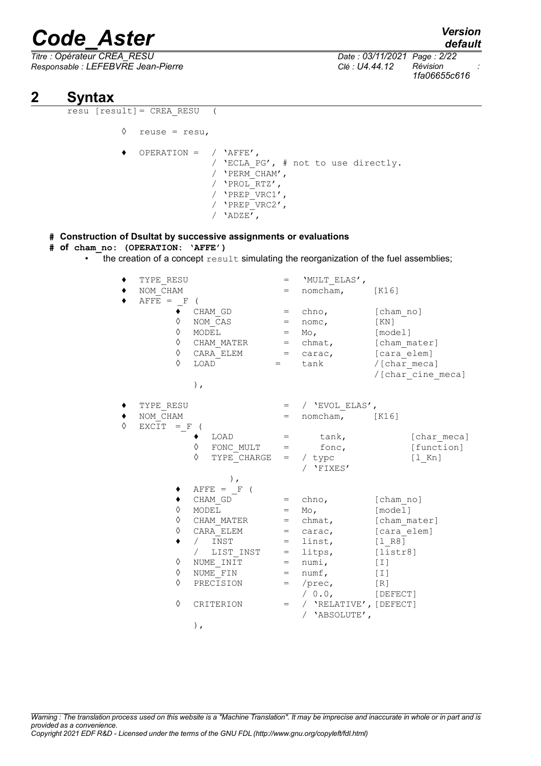*Titre : Opérateur CREA\_RESU Date : 03/11/2021 Page : 2/22 Responsable : LEFEBVRE Jean-Pierre Clé : U4.44.12 Révision :*

*1fa06655c616*

### **2 Syntax**

```
resu [result]= CREA_RESU (
           \Diamond reuse = resu,
              OPERATION = / YAFFE',/ 'ECLA_PG', # not to use directly.
                               / 'PERM_CHAM',
                               / 'PROL_RTZ',
                               / 'PREP_VRC1',
                               / 'PREP_VRC2',
                               / 'ADZE<sup>\overline{'}</sup>,
```
**# Construction of Dsultat by successive assignments or evaluations**

**# of cham\_no: (OPERATION: 'AFFE')**

the creation of a concept result simulating the reorganization of the fuel assemblies;

```
\begin{array}{cccc} \text{TVPE} & \text{RESU} & = & \text{``MULT ELAS'}\, , \end{array}\bullet NOM CHAM = nomcham, [K16]\blacklozenge AFFE = \Gamma (
           \bullet CHAM GD = chno, [cham_no]
           \Diamond NOM CAS = nome, [KN]
           \Diamond MODEL = Mo, [model]
           ◊ CHAM_MATER = chmat, [cham_mater]
           ◊ CARA_ELEM = carac, [cara_elem]
                                 = tank /[char meca]
                                                       /[char_cine_meca] 
               ),
\blacklozenge TYPE RESU = / 'EVOL ELAS',
\begin{array}{ll}\n\bullet & \text{NOM\_CHAM} \\
\bullet & \text{FWCT}^{\text{}}\n\end{array} = nomcham, [K16]
   EXCIT = F (♦ LOAD = tank, [char_meca]
               ◊ FONC_MULT = fonc, [function]
               \sqrt{y} TYPE CHARGE = / typc [l Kn]
                                       / 'FIXES'
                       ),
           \triangle AFFE = F (
           \bullet CHAM GD = chno, [cham no]
           \Diamond MODEL = Mo, [model]
           \Diamond CHAM MATER = chmat, [cham_mater]
           \begin{array}{cccc}\n\lozenge & \text{CARA} \text{=} \text{ELEM} & = & \text{carac,} \\
\lozenge & / & \text{INST} & = & \text{limits,} \\
\end{array}
\begin{array}{cccc}\n\text{[cara} \text{=} \text{lem} \\
\text{[1 R8]} \\
\end{array}♦ / INST = linst, [l_R8]
               / LIST INST = litps, [i]listr8]
           \begin{array}{lllll} \Diamond & \text{NUME\_INIT} & = & \text{numi}, & \text{[I]} \\ \Diamond & \text{NUME-FIN} & = & \text{numf}, & \text{[I]} \end{array}↑ NUME_FIN<br>↑ PRECISION
                                   = /prec, [R]/ 0.0, [DEFECT]
           ◊ CRITERION = / 'RELATIVE',[DEFECT]
                                       / 'ABSOLUTE',
               ),
```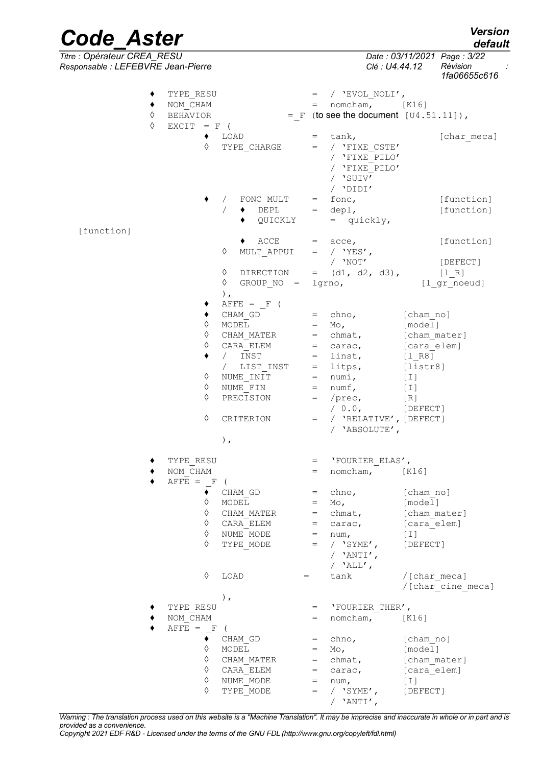| <b>Code Aster</b>                                                 |                 |                                                                                   |                                                                                                                                                                  |                                               |                                                                                                                                                       |                                                                                                                              | <b>Version</b><br>default                               |
|-------------------------------------------------------------------|-----------------|-----------------------------------------------------------------------------------|------------------------------------------------------------------------------------------------------------------------------------------------------------------|-----------------------------------------------|-------------------------------------------------------------------------------------------------------------------------------------------------------|------------------------------------------------------------------------------------------------------------------------------|---------------------------------------------------------|
| Titre : Opérateur CREA_RESU<br>Responsable : LEFEBVRE Jean-Pierre |                 |                                                                                   |                                                                                                                                                                  |                                               | Clé : U4.44.12                                                                                                                                        |                                                                                                                              | Date: 03/11/2021 Page: 3/22<br>Révision<br>1fa06655c616 |
|                                                                   | $\Diamond$<br>♦ | TYPE RESU<br>NOM CHAM<br>BEHAVIOR<br>$EXCIT = F ($                                |                                                                                                                                                                  | $=$                                           | / 'EVOL NOLI',<br>$=$ nomcham, $[K16]$<br>$=$ F (to see the document [U4.51.11]),                                                                     |                                                                                                                              |                                                         |
|                                                                   |                 | ٠<br>♦                                                                            | LOAD<br>TYPE CHARGE                                                                                                                                              | $=$<br>$=$                                    | tank,<br>/ 'FIXE CSTE'<br>/ 'FIXE PILO'<br>/ 'FIXE PILO'<br>/ 'SUIV'<br>/ $'$ DIDI'                                                                   |                                                                                                                              | [char meca]                                             |
|                                                                   |                 |                                                                                   | FONC MULT<br>DEPL<br>QUICKLY                                                                                                                                     | $=$ $\qquad$<br>$=$                           | fonc,<br>depl,<br>$=$ quickly,                                                                                                                        |                                                                                                                              | [function]<br>[function]                                |
| [function]                                                        |                 |                                                                                   | ACCE<br>♦<br>MULT APPUI                                                                                                                                          |                                               | $=$ $\alpha$ cce,<br>$=$ / $'YES'$ ,<br>/ $'$ NOT'                                                                                                    |                                                                                                                              | [function]<br>[DEFECT]                                  |
|                                                                   |                 |                                                                                   | ♦<br>DIRECTION<br>♦<br>$GROUP NO =$<br>$\,$ ,                                                                                                                    |                                               | $=$ (d1, d2, d3),<br>lgrno,                                                                                                                           |                                                                                                                              | $[1 R]$<br>[1 gr noeud]                                 |
|                                                                   |                 | ♦<br>♦<br>♦<br>٠<br>♦<br>$\Diamond$<br>$\Diamond$<br>♦                            | $A$ FFE = F (<br>CHAM GD<br>MODEL<br>CHAM MATER<br>CARA ELEM<br>$\sqrt{2}$<br>INST<br>LIST_INST<br>$\sqrt{2}$<br>NUME INIT<br>NUME FIN<br>PRECISION<br>CRITERION | $=$<br>$=$<br>$=$<br>$=$<br>$=$<br>$=$        | chno,<br>$\mathbb{M} \circ$ ,<br>$=$ chmat,<br>$=$ carac,<br>linst,<br>$=$ litps,<br>numi,<br>numf,<br>$=$ /prec,<br>/ 0.0,<br>/ 'RELATIVE', [DEFECT] | [cham no]<br>[model]<br>[cham mater]<br>[cara elem]<br>[1 R8]<br>[listr8]<br>$\lfloor 1 \rfloor$<br>$[1]$<br>[R]<br>[DEFECT] |                                                         |
|                                                                   |                 |                                                                                   | ),                                                                                                                                                               |                                               | / 'ABSOLUTE',                                                                                                                                         |                                                                                                                              |                                                         |
|                                                                   |                 | TYPE RESU<br>NOM CHAM<br>$A$ FFE = F (<br>$\Diamond$<br>$\Diamond$<br>♦<br>♦<br>♦ | CHAM GD<br>MODEL<br>CHAM MATER<br>CARA ELEM<br>NUME MODE<br>TYPE MODE                                                                                            | $=$<br>$=$<br>$=$<br>$=$<br>$=$<br>$=$<br>$=$ | 'FOURIER ELAS',<br>nomcham,<br>chno,<br>$Mo$ ,<br>chmat,<br>$=$ carac,<br>num,<br>/ $'SYME'$ ,<br>/ $'ANTI',$                                         | [K16]<br>[cham no]<br>[model]<br>[cham mater]<br>[cara elem]<br>$[\;1\;]$<br>[DEFECT]                                        |                                                         |
|                                                                   |                 | ♦                                                                                 | LOAD                                                                                                                                                             | $=$                                           | / $'ALL'$ ,<br>tank                                                                                                                                   | /[char meca]                                                                                                                 | /[char cine meca]                                       |
|                                                                   |                 | TYPE RESU<br>NOM CHAM<br>$A$ FFE = F (                                            | $\,$ ,                                                                                                                                                           | $=$<br>$=$                                    | 'FOURIER THER',<br>nomcham,                                                                                                                           | [K16]                                                                                                                        |                                                         |
|                                                                   |                 | ♦<br>$\Diamond$<br>$\Diamond$<br>♦<br>♦                                           | CHAM GD<br>MODEL<br>CHAM MATER<br>CARA ELEM<br>NUME MODE<br>TYPE MODE                                                                                            | $=$<br>$=$<br>$=$<br>$=$<br>$=$               | chno,<br>$Mo$ ,<br>chmat,<br>$=$ carac,<br>num,<br>/ $'SYME'$ ,                                                                                       | [cham no]<br>[model]<br>[cham mater]<br>[cara elem]<br>[1]<br>[DEFECT]                                                       |                                                         |

*Warning : The translation process used on this website is a "Machine Translation". It may be imprecise and inaccurate in whole or in part and is provided as a convenience.*

/ 'ANTI',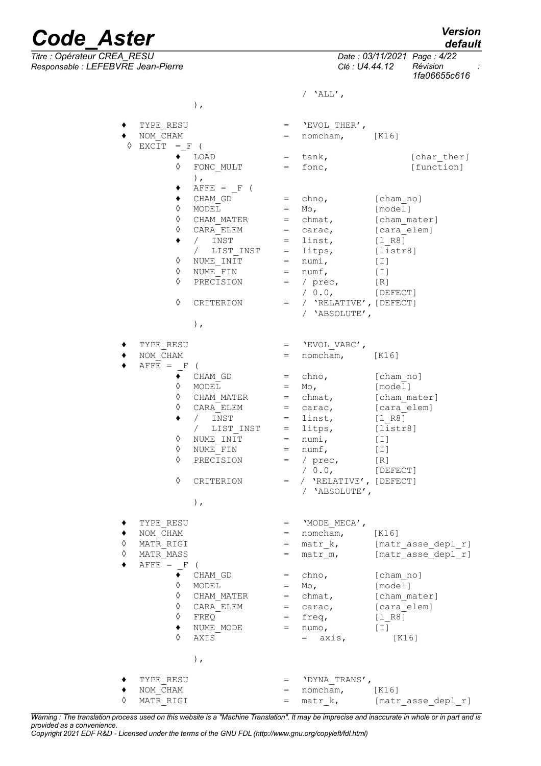| <b>Code Aster</b>                                                          |                                                                                                                                                                           |                                                               |                                                                                                                                                                 |                                                                                                                  | <b>Version</b><br>default |
|----------------------------------------------------------------------------|---------------------------------------------------------------------------------------------------------------------------------------------------------------------------|---------------------------------------------------------------|-----------------------------------------------------------------------------------------------------------------------------------------------------------------|------------------------------------------------------------------------------------------------------------------|---------------------------|
| Titre : Opérateur CREA RESU<br>Responsable : LEFEBVRE Jean-Pierre          |                                                                                                                                                                           |                                                               | Clé : U4.44.12                                                                                                                                                  | Date: 03/11/2021 Page: 4/22<br>Révision                                                                          | 1fa06655c616              |
|                                                                            |                                                                                                                                                                           |                                                               | / $'ALL'$ ,                                                                                                                                                     |                                                                                                                  |                           |
|                                                                            | $)$ ,                                                                                                                                                                     |                                                               |                                                                                                                                                                 |                                                                                                                  |                           |
| TYPE RESU<br>NOM CHAM<br>$EXCIT = F ($<br>♦                                |                                                                                                                                                                           | $=$<br>$=$                                                    | 'EVOL THER',<br>nomcham,                                                                                                                                        | [K16]                                                                                                            |                           |
| ٠<br>♦                                                                     | LOAD<br>FONC MULT<br>$\,$ ,                                                                                                                                               | $=$<br>$=$                                                    | tank,<br>fonc,                                                                                                                                                  |                                                                                                                  | [char ther]<br>[function] |
| ٠<br>٠<br>♦<br>♦<br>♦<br>٠<br>♦<br>$\Diamond$<br>♦<br>$\Diamond$           | $A$ FFE = F (<br>CHAM GD<br>MODEL<br>CHAM MATER<br>CARA ELEM<br>$\sqrt{2}$<br>INST<br>LIST INST<br>$\sqrt{2}$<br>NUME INIT<br>NUME FIN<br>PRECISION<br>CRITERION<br>$)$ , | $=$<br>$=$<br>$=$<br>$=$<br>$=$<br>$\equiv$ $-$<br>$=$<br>$=$ | chno,<br>$\mathbb{M} \circ$ ,<br>chmat,<br>carac,<br>$=$ linst,<br>$=$ litps,<br>numi,<br>numf,<br>/ prec,<br>/ 0.0,<br>/ 'RELATIVE', [DEFECT]<br>/ 'ABSOLUTE', | [cham no]<br>[model]<br>[cham mater]<br>[cara elem]<br>[1 R8]<br>[liststr8]<br>$[1]$<br>$[1]$<br>[R]<br>[DEFECT] |                           |
| TYPE RESU                                                                  |                                                                                                                                                                           | $=$                                                           | 'EVOL VARC',                                                                                                                                                    |                                                                                                                  |                           |
| NOM CHAM<br>$A$ FFE =<br>F (                                               |                                                                                                                                                                           | $=$                                                           | nomcham,                                                                                                                                                        | [K16]                                                                                                            |                           |
| ♦<br>♦<br>♦<br>٠<br>♦<br>$\Diamond$<br>$\Diamond$                          | CHAM GD<br>MODEL<br>CHAM MATER<br>CARA ELEM<br>$\sqrt{2}$<br>INST<br>$\sqrt{2}$<br>LIST INST<br>NUME INIT<br>NUME FIN<br>PRECISION                                        | $=$<br>$=$<br>$=$<br>$=$<br>$=$<br>$=$                        | chno,<br>$\mathbb{M} \circ$ ,<br>chmat,<br>$=$ carac,<br>$=$ linst,<br>litps,<br>numi,<br>numf,<br>$=$ / prec,                                                  | [cham no]<br>[model]<br>[cham mater]<br>[cara elem]<br>[1 R8]<br>[liststr8]<br>$[1]$<br>$[1]$<br>[R]             |                           |
| ♦                                                                          | CRITERION                                                                                                                                                                 |                                                               | / 0.0, [DEFECT]<br>$=$ / 'RELATIVE', [DEFECT]<br>/ 'ABSOLUTE',                                                                                                  |                                                                                                                  |                           |
|                                                                            | $)$ ,                                                                                                                                                                     |                                                               |                                                                                                                                                                 |                                                                                                                  |                           |
| TYPE RESU<br>NOM CHAM<br>♦<br>MATR RIGI<br>♦<br>MATR MASS<br>$A$ FFE = F ( |                                                                                                                                                                           | $=$<br>$=$<br>$=$<br>$=$                                      | 'MODE MECA',<br>nomcham,<br>matr k,<br>matr m,                                                                                                                  | [K16]<br>[matr asse depl r]<br>[matr asse depl r]                                                                |                           |
| $\bullet$<br>♦<br>♦<br>$\Diamond$<br>♦<br>$\blacklozenge$<br>♦             | CHAM GD<br>MODEL<br>CHAM MATER<br>CARA ELEM<br>FREQ<br>NUME MODE<br>AXIS                                                                                                  | $=$<br>$=$<br>$=$<br>$=$<br>$=$                               | chno,<br>MO <sub>1</sub><br>chmat,<br>= carac, [cara elem]<br>freq,<br>numo,<br>$=$ $axis,$                                                                     | [cham no]<br>[model]<br>[cham mater]<br>$[1 R8]$<br>[T]<br>[K16]                                                 |                           |
|                                                                            | $\,$ ,                                                                                                                                                                    |                                                               |                                                                                                                                                                 |                                                                                                                  |                           |
| TYPE RESU<br>NOM CHAM                                                      |                                                                                                                                                                           | $=$<br>$=$                                                    | 'DYNA TRANS',<br>nomcham,                                                                                                                                       | [K16]                                                                                                            |                           |

 $\Diamond$  MATR\_RIGI = matr\_k, [matr\_asse\_depl\_r] *Warning : The translation process used on this website is a "Machine Translation". It may be imprecise and inaccurate in whole or in part and is provided as a convenience.*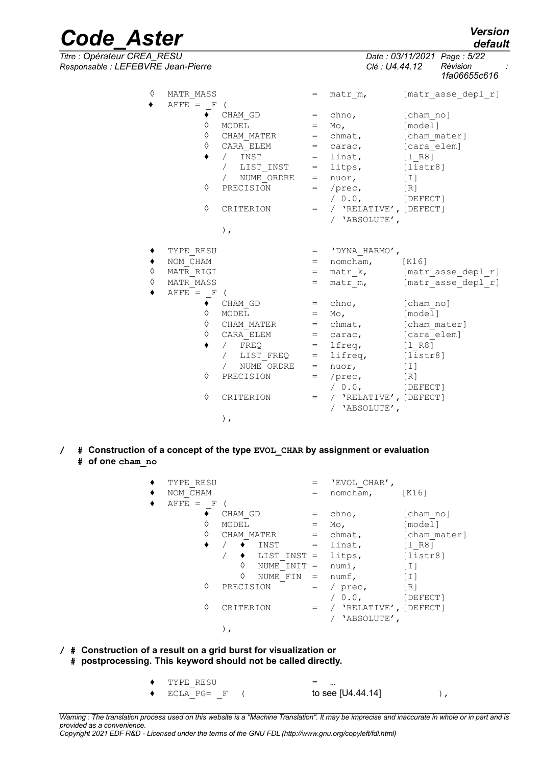*default*

# *Code\_Aster Version*

*Titre : Opérateur CREA\_RESU Date : 03/11/2021 Page : 5/22 Responsable : LEFEBVRE Jean-Pierre Clé : U4.44.12 Révision :*

*1fa06655c616*

| ♦ |               |                                 |     |                            |                                   |
|---|---------------|---------------------------------|-----|----------------------------|-----------------------------------|
|   | MATR MASS     |                                 | $=$ |                            | matr m, [matr asse depl r]        |
|   | $A$ FFE = F ( |                                 |     |                            |                                   |
|   |               | CHAM GD                         | $=$ | chno, [cham no]            |                                   |
|   | ♦             | MODEL                           | $=$ | $Mo$ ,                     | [model]                           |
|   | ♦             | CHAM MATER                      |     | = chmat, [cham mater]      |                                   |
|   |               | $\Diamond$ CARA ELEM            |     | = carac, [cara elem]       |                                   |
|   |               | $/$ INST = linst, $[1 R8]$      |     |                            |                                   |
|   |               | / LIST_INST = litps, [listr8]   |     |                            |                                   |
|   |               | / NUME ORDRE                    | $=$ | nuor, [I]                  |                                   |
|   | ♦             | PRECISION                       |     | $=$ /prec, $[R]$           |                                   |
|   |               |                                 |     | $\sqrt{0.0}$ , [DEFECT]    |                                   |
|   | ♦             | CRITERION                       |     | $=$ / 'RELATIVE', [DEFECT] |                                   |
|   |               |                                 |     | / 'ABSOLUTE',              |                                   |
|   |               | $)$ ,                           |     |                            |                                   |
|   |               |                                 |     |                            |                                   |
|   | TYPE RESU     |                                 | $=$ | 'DYNA HARMO',              |                                   |
|   | NOM CHAM      |                                 | $=$ | nomcham, [K16]             |                                   |
| ♦ | MATR RIGI     |                                 | $=$ |                            | matr_k, [matr_asse_depl_r]        |
| ♦ | MATR MASS     |                                 | $=$ |                            | matr m, [matr asse depl r]        |
|   | $A$ FFE = F ( |                                 |     |                            |                                   |
|   |               | CHAM GD                         |     | $=$ chno, $[$ cham no]     |                                   |
|   | ♦             | <b>MODEL</b>                    | $=$ | Mo, [model]                |                                   |
|   | ♦             | CHAM MATER                      |     | = chmat, [cham_mater]      |                                   |
|   | ♦             | CARA_ELEM = carac, [cara_elem]  |     |                            |                                   |
|   |               | / $FREQ = Ifreq,$ [1 R8]        |     |                            |                                   |
|   |               |                                 |     |                            |                                   |
|   |               | / LIST_FREQ =<br>/ NUME_ORDRE = |     | lifreq, [listr8]           |                                   |
|   |               |                                 |     | nuor,                      | $\begin{bmatrix} 1 \end{bmatrix}$ |
|   | ♦             | PRECISION                       | $=$ | /prec, [R]                 |                                   |
|   |               |                                 |     | $/ 0.0,$ [DEFECT]          |                                   |
|   | ♦             | CRITERION                       |     | $=$ / 'RELATIVE', [DEFECT] |                                   |
|   |               |                                 |     | / 'ABSOLUTE',              |                                   |
|   |               | $)$ ,                           |     |                            |                                   |

**/ # Construction of a concept of the type EVOL\_CHAR by assignment or evaluation # of one cham\_no**

| ٠ | TYPE RESU   |                  |                                   | 'EVOL CHAR',           |                       |
|---|-------------|------------------|-----------------------------------|------------------------|-----------------------|
| ٠ | NOM CHAM    |                  | $=$                               | nomcham,               | [K16]                 |
| ٠ | $A$ FFE = F |                  |                                   |                        |                       |
|   |             | CHAM GD          |                                   | chno,                  | [cham no]             |
|   | ♦           | MODEL            | $=$                               | Mo,                    | [model]               |
|   | ♦           | CHAM MATER       | $\hspace{1.6cm} = \hspace{1.6cm}$ | chmat,                 | [cham mater]          |
|   |             | INST             | $=$                               | linst,                 | $\lceil 1 \rceil$ R81 |
|   |             | LIST INST =      |                                   | litps,                 | [listr8]              |
|   |             | ♦<br>NUME INIT = |                                   | numi,                  | $\lceil 1 \rceil$     |
|   |             | ♦<br>NUME FIN    | $\hspace{0.1cm} = \hspace{0.1cm}$ | numf,                  | $\lceil 1 \rceil$     |
|   | ♦           | PRECISION        | $=$                               | / prec,                | [R]                   |
|   |             |                  |                                   | $/$ 0.0,               | [DEFECT]              |
|   | ♦           | CRITERION        | $=$                               | / 'RELATIVE', [DEFECT] |                       |
|   |             |                  |                                   | 'ABSOLUTE',            |                       |
|   |             |                  |                                   |                        |                       |

**/ # Construction of a result on a grid burst for visualization or**

- **# postprocessing. This keyword should not be called directly.**
	- ◆ TYPE\_RESU = …<br>◆ ECLA PG= F ( to see  $($  to see [U4.44.14]  $)$ ,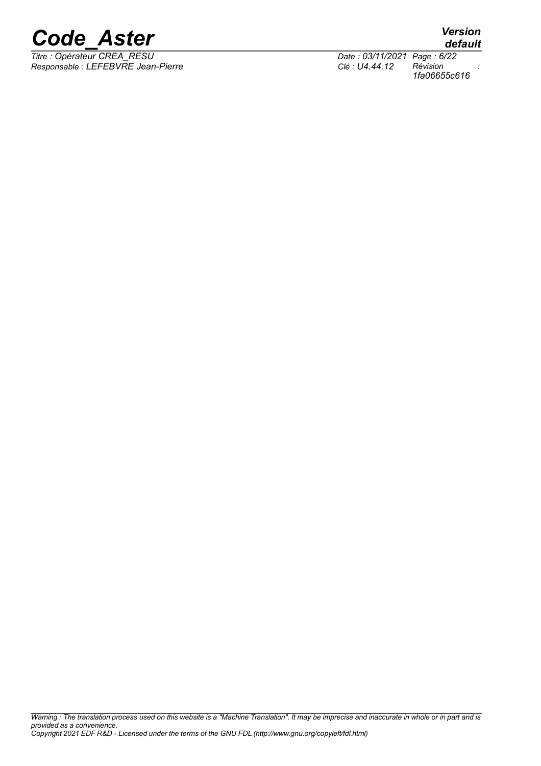

*Titre : Opérateur CREA\_RESU Date : 03/11/2021 Page : 6/22 Responsable : LEFEBVRE Jean-Pierre Clé : U4.44.12 Révision :*

*1fa06655c616*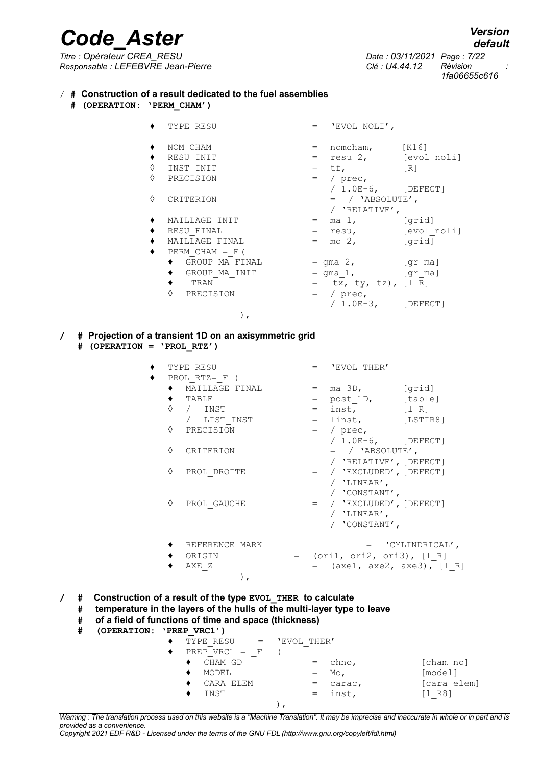*default*

*1fa06655c616*

*Titre : Opérateur CREA\_RESU Date : 03/11/2021 Page : 7/22 Responsable : LEFEBVRE Jean-Pierre Clé : U4.44.12 Révision :*

#### / **# Construction of a result dedicated to the fuel assemblies**

 **# (OPERATION: 'PERM\_CHAM')**

|        | TYPE RESU                                       |              | $=$ 'EVOL NOLI',                                                |         |
|--------|-------------------------------------------------|--------------|-----------------------------------------------------------------|---------|
| ♦<br>♦ | NOM CHAM<br>RESU INIT<br>INST INIT<br>PRECISION | $=$<br>$=$   | nomcham, [K16]<br>resu 2, [evol noli]<br>$=$ tf,<br>$=$ / prec, | [R]     |
| ♦      | CRITERION                                       |              | $/ 1.0E-6$ , [DEFECT]<br>$=$ / 'ABSOLUTE',<br>/ 'RELATIVE',     |         |
|        | MAILLAGE INIT                                   | $=$          | ma 1, [grid]                                                    |         |
|        | RESU FINAL                                      | $=$ $\qquad$ | resu, [evol noli]                                               |         |
|        | MAILLAGE FINAL                                  | $=$          | $m$ o 2,                                                        | [qrid]  |
|        | PERM CHAM = $F($                                |              |                                                                 |         |
|        | GROUP MA FINAL                                  |              | $=$ gma $2$ ,                                                   | [gr ma] |
|        | GROUP MA INIT                                   |              | $=$ gma 1, [gr ma]                                              |         |
|        | TRAN                                            |              | $=$ tx, ty, tz), [1 R]                                          |         |
|        | ♦ PRECISION                                     | $=$ $-$      | / prec,<br>/ 1.0E-3, [DEFECT]                                   |         |

),

#### **/ # Projection of a transient 1D on an axisymmetric grid**

**# (OPERATION = 'PROL\_RTZ')**

|   |            | TYPE RESU         |     | $=$ 'EVOL THER'               |
|---|------------|-------------------|-----|-------------------------------|
| ٠ |            | PROL RTZ= $F$ (   |     |                               |
|   |            | ◆ MAILLAGE FINAL  |     | ma 3D, [grid]                 |
|   |            | TABLE             |     | = post 1D, [table]            |
|   |            | $\Diamond$ / INST | $=$ | $inst,$ [1 R]                 |
|   |            | / LIST INST       |     | = linst, [LSTIR8]             |
|   |            | ♦ PRECISION       |     | $=$ / prec,                   |
|   |            |                   |     | $/ 1.0E-6$ , [DEFECT]         |
|   | ♦          | CRITERION         |     | $=$ / 'ABSOLUTE',             |
|   |            |                   |     | / 'RELATIVE', [DEFECT]        |
|   | $\Diamond$ | PROL DROITE       |     | $=$ / $'$ EXCLUDED', [DEFECT] |
|   |            |                   |     | / $'$ LINEAR',                |
|   |            |                   |     | / 'CONSTANT',                 |
|   | ♦          | PROL GAUCHE       |     | $=$ / $'$ EXCLUDED', [DEFECT] |
|   |            |                   |     | / 'LINEAR',                   |
|   |            |                   |     | / 'CONSTANT',                 |
|   |            |                   |     |                               |
|   |            | REFERENCE MARK    |     | $=$ 'CYLINDRICAL',            |
|   |            | ORIGIN            |     | = (ori1, ori2, ori3), [1 R]   |
|   |            | AXE Z             |     | (axe1, axe2, axe3), [1 R]     |
|   |            | Ι,                |     |                               |

- **/ # Construction of a result of the type EVOL\_THER to calculate** 
	- **# temperature in the layers of the hulls of the multi-layer type to leave**
	- **# of a field of functions of time and space (thickness)**
	- **# (OPERATION: 'PREP\_VRC1')**

| TYPE RESU<br>$=$ | 'EVOL THER' |           |             |
|------------------|-------------|-----------|-------------|
| PREP VRC1 = $F$  |             |           |             |
| CHAM GD          |             | $=$ chno, | [cham no]   |
| MODEL            |             | $=$ Mo,   | [model]     |
| CARA ELEM        |             | carac,    | [cara elem] |
| INST             |             | $=$ inst, | [1 R8]      |
|                  |             |           |             |

*Warning : The translation process used on this website is a "Machine Translation". It may be imprecise and inaccurate in whole or in part and is provided as a convenience.*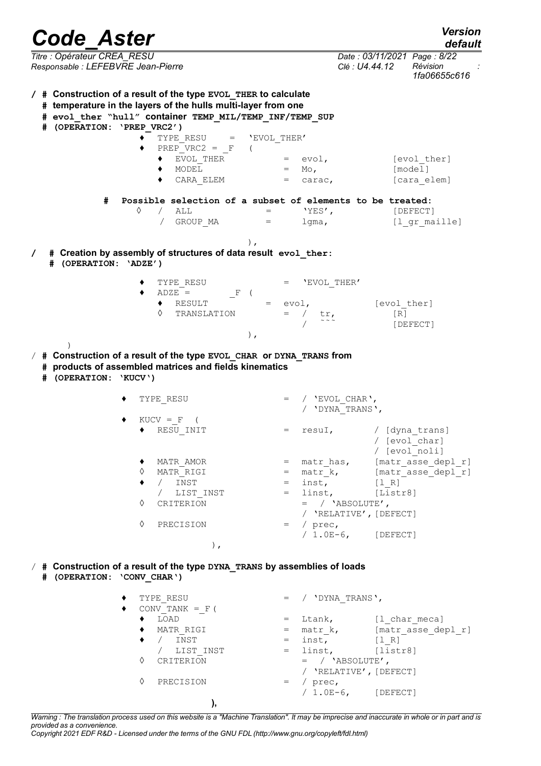*default*

*Titre : Opérateur CREA\_RESU Date : 03/11/2021 Page : 8/22 Responsable : LEFEBVRE Jean-Pierre Clé : U4.44.12 Révision : 1fa06655c616* **/ # Construction of a result of the type EVOL\_THER to calculate # temperature in the layers of the hulls multi-layer from one # evol\_ther "hull" container TEMP\_MIL/TEMP\_INF/TEMP\_SUP # (OPERATION: 'PREP\_VRC2')** ♦ TYPE\_RESU = 'EVOL\_THER'  $\triangleleft$  PREP VRC2 = F (  $\begin{array}{rcl}\n\bullet & \text{EVOL\_THEN} \\
\bullet & \text{MODEL} \\
\end{array} \qquad \qquad = \text{evol}, \qquad \qquad \text{[evol\_ther]} \\
\bullet & \text{MODEL} \\
\end{array}$ ♦ MODEL = Mo, [model]  $\bullet$  CARA ELEM = carac,  $\circ$  [cara elem] **# Possible selection of a subset of elements to be treated:**  $\Diamond$  / ALL  $=$  'YES', [DEFECT] / GROUP MA  $=$  lgma,  $[1 \text{ gr maille}]$ ), **/ # Creation by assembly of structures of data result evol\_ther: # (OPERATION: 'ADZE')** ♦ TYPE\_RESU = 'EVOL\_THER'  $\bigstar$  ADZE = F ( ◆ RESULT  $=$  evol,  $[evol\_ther]$ <br>
↑ TRANSLATION  $=$  / tr,  $[R]$  $\Diamond$  TRANSLATION = / tr, [R] / [DEFECT] ), ) / **# Construction of a result of the type EVOL\_CHAR or DYNA\_TRANS from # products of assembled matrices and fields kinematics # (OPERATION: 'KUCV')** ♦ TYPE\_RESU = / 'EVOL\_CHAR', / 'DYNA\_TRANS',  $KUCV = F$  (  $\triangleleft$  RESU INIT  $=$  resuI, / [dyna\_trans] / [evol\_char] / [evol\_noli] MATR AMOR  $=$  matr has,  $[$ matr asse depl r]  $\Diamond$  MATR RIGI = matr k, [matr asse depl r]  $\bullet$  / INST = inst, [1R]  $\begin{array}{rcl} \end{array}$  / LIST\_INST = linst, [Listr8]<br>CRITERION = / 'ABSOLUTE',  $\Diamond$  CRITERION = / 'ABSOLUTE', / 'RELATIVE',[DEFECT] ◊ PRECISION = / prec, / 1.0E-6, [DEFECT] ), / **# Construction of a result of the type DYNA\_TRANS by assemblies of loads # (OPERATION: 'CONV\_CHAR')**  $\bullet$  TYPE RESU  $=$  / 'DYNA TRANS',  $\bullet$  CONV TANK = F ( ◆ LOAD = Ltank, [l char meca] ♦ MATR\_RIGI = matr\_k, [matr\_asse\_depl\_r]

*Warning : The translation process used on this website is a "Machine Translation". It may be imprecise and inaccurate in whole or in part and is provided as a convenience.*

**),**

 $\bullet$  / INST = inst, [l\_R] / LIST INST  $=$  linst,  $[\text{listr8}]$  $\Diamond$  CRITERION = / 'ABSOLUTE', / 'RELATIVE',[DEFECT] ◊ PRECISION = / prec, / 1.0E-6, [DEFECT]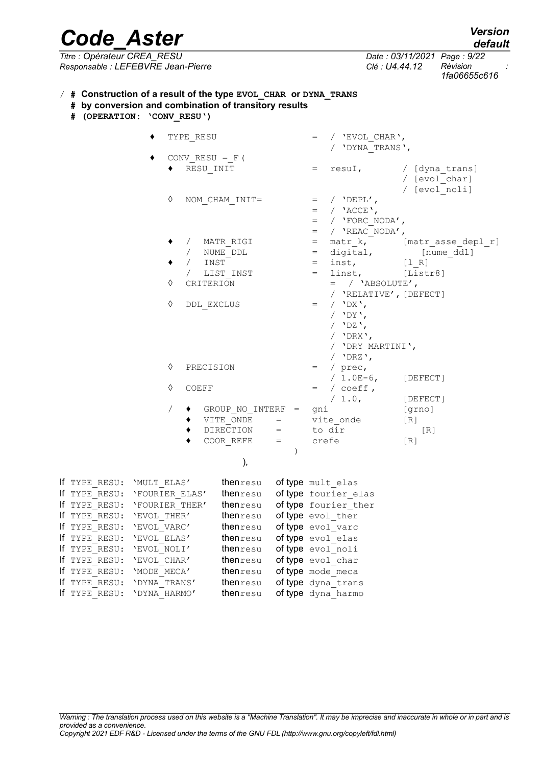*default*

*Code\_Aster Version Titre : Opérateur CREA\_RESU Date : 03/11/2021 Page : 9/22*

*Responsable : LEFEBVRE Jean-Pierre Clé : U4.44.12 Révision :*

*1fa06655c616*

#### / **# Construction of a result of the type EVOL\_CHAR or DYNA\_TRANS**

- **# by conversion and combination of transitory results**
- **# (OPERATION: 'CONV\_RESU')**

|                                                                                                                                                                                                        | TYPE RESU                                 |                                                                                              | $=$ $\qquad$                                                                                                                                                               | / 'EVOL CHAR',<br>/ 'DYNA TRANS',                                                                                  |                                                                          |
|--------------------------------------------------------------------------------------------------------------------------------------------------------------------------------------------------------|-------------------------------------------|----------------------------------------------------------------------------------------------|----------------------------------------------------------------------------------------------------------------------------------------------------------------------------|--------------------------------------------------------------------------------------------------------------------|--------------------------------------------------------------------------|
|                                                                                                                                                                                                        |                                           | CONV RESU = $F($<br>RESU INIT                                                                | $=$                                                                                                                                                                        | resuI,                                                                                                             | / [dyna trans]<br>/ [evol char]<br>/ [evol noli]                         |
|                                                                                                                                                                                                        | ♦                                         | NOM CHAM INIT=                                                                               | $=$<br>$=$<br>$=$                                                                                                                                                          | / $'$ DEPL',<br>$=$ / $'ACCE'$ ,<br>/ 'FORC NODA',<br>/ 'REAC NODA',                                               |                                                                          |
|                                                                                                                                                                                                        | ٠<br>♦                                    | / MATR RIGI<br>NUME DDL<br>/ INST<br>/ LIST INST<br>CRITERION                                | $=$<br>$=$<br>$=$                                                                                                                                                          | inst,<br>$=$ linst,<br>$=$ / 'ABSOLUTE',                                                                           | matr_k, [matr_asse_depl_r]<br>digital, [nume_ddl]<br>$[1 R]$<br>[Listr8] |
|                                                                                                                                                                                                        | ♦                                         | DDL EXCLUS                                                                                   |                                                                                                                                                                            | / 'RELATIVE', [DEFECT]<br>$=$ / $'DR'$ ,<br>/ 'DY',<br>/ $'$ DZ $',$<br>/ $'DRX$ ,<br>/ 'DRY MARTINI',<br>/ 'DRZ', |                                                                          |
|                                                                                                                                                                                                        | ♦<br>♦<br>COEFF                           | PRECISION                                                                                    |                                                                                                                                                                            | $=$ / prec,<br>/ $1.0E-6$ ,<br>$=$ / coeff,                                                                        | [DEFECT]                                                                 |
|                                                                                                                                                                                                        |                                           | GROUP_NO_INTERF = gni<br>VITE ONDE = vite_onde<br>DIRECTION<br>COOR_REFE<br>),               | $=$ to $\overline{dir}$<br>$=$ $\sim$<br>crefe<br>$\lambda$                                                                                                                | $/1.0$ ,                                                                                                           | [DEFECT]<br>[grno]<br>[R]<br>[R]<br>$[R]1$                               |
| If TYPE_RESU: 'MULT_ELAS'<br>If TYPE RESU: 'FOURIER ELAS'<br>If TYPE RESU: 'FOURIER THER'<br>If TYPE RESU: 'EVOL THER'<br>If TYPE RESU: 'EVOL VARC'<br>If TYPE RESU:<br>If TYPE RESU:<br>If TYPE RESU: | 'EVOL ELAS'<br>'EVOL NOLI'<br>'EVOL CHAR' | thenresu<br>thenresu<br>thenresu<br>thenresu<br>thenresu<br>thenresu<br>thenresu<br>thenresu | of type mult_elas<br>of type fourier elas<br>of type fourier ther<br>of type evol_ther<br>of type evol varc<br>of type evol_elas<br>of type evol_noli<br>of type evol char |                                                                                                                    |                                                                          |

 $then$  resu of type  $mode$  meca

If TYPE\_RESU: 'MODE\_MECA' thenresu of type mode\_meca<br>If TYPE\_RESU: 'DYNA\_TRANS' thenresu of type dyna\_trans If TYPE RESU: 'DYNA HARMO' thenresu of type dyna harmo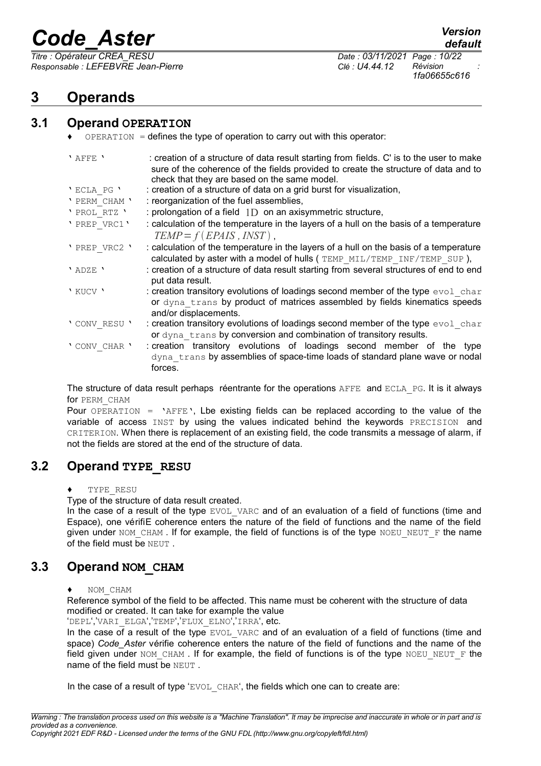*Responsable : LEFEBVRE Jean-Pierre Clé : U4.44.12 Révision :*

## **3 Operands**

#### **3.1 Operand OPERATION**

 $\bullet$  OPERATION = defines the type of operation to carry out with this operator:

| ' AFFE'       | : creation of a structure of data result starting from fields. C' is to the user to make<br>sure of the coherence of the fields provided to create the structure of data and to<br>check that they are based on the same model. |
|---------------|---------------------------------------------------------------------------------------------------------------------------------------------------------------------------------------------------------------------------------|
| 'ECLA PG'     | : creation of a structure of data on a grid burst for visualization,                                                                                                                                                            |
| ' PERM CHAM ' | : reorganization of the fuel assemblies,                                                                                                                                                                                        |
| ' PROL RTZ '  | : prolongation of a field $1D$ on an axisymmetric structure,                                                                                                                                                                    |
| 'PREP VRC1'   | : calculation of the temperature in the layers of a hull on the basis of a temperature<br>$TEMP = f(EPAIS, INST)$ ,                                                                                                             |
| ' PREP VRC2 ' | : calculation of the temperature in the layers of a hull on the basis of a temperature<br>calculated by aster with a model of hulls (TEMP MIL/TEMP INF/TEMP SUP),                                                               |
| 'ADZE'        | : creation of a structure of data result starting from several structures of end to end<br>put data result.                                                                                                                     |
| ' KUCV'       | : creation transitory evolutions of loadings second member of the type evol char<br>or dyna trans by product of matrices assembled by fields kinematics speeds<br>and/or displacements.                                         |
| ' CONV RESU ' | : creation transitory evolutions of loadings second member of the type $evol$ char<br>or dyna trans by conversion and combination of transitory results.                                                                        |
| ' CONV CHAR'  | : creation transitory evolutions of loadings second member of the type<br>dyna trans by assemblies of space-time loads of standard plane wave or nodal<br>forces.                                                               |

The structure of data result perhaps réentrante for the operations AFFE and ECLA PG. It is it always for PERM\_CHAM

Pour OPERATION =  $'$ AFFE', Lbe existing fields can be replaced according to the value of the variable of access INST by using the values indicated behind the keywords PRECISION and CRITERION. When there is replacement of an existing field, the code transmits a message of alarm, if not the fields are stored at the end of the structure of data.

### **3.2 Operand TYPE\_RESU**

TYPE RESU

Type of the structure of data result created.

In the case of a result of the type EVOL VARC and of an evaluation of a field of functions (time and Espace), one vérifiE coherence enters the nature of the field of functions and the name of the field given under NOM\_CHAM. If for example, the field of functions is of the type NOEU\_NEUT\_F the name of the field must be NEUT .

### **3.3 Operand NOM\_CHAM**

NOM CHAM

Reference symbol of the field to be affected. This name must be coherent with the structure of data modified or created. It can take for example the value

'DEPL','VARI\_ELGA','TEMP','FLUX\_ELNO','IRRA', etc.

In the case of a result of the type  $EVOL$  VARC and of an evaluation of a field of functions (time and space) *Code\_Aster* vérifie coherence enters the nature of the field of functions and the name of the field given under NOM\_CHAM . If for example, the field of functions is of the type NOEU\_NEUT\_F the name of the field must be NEUT .

In the case of a result of type ' $EVOL$  CHAR', the fields which one can to create are: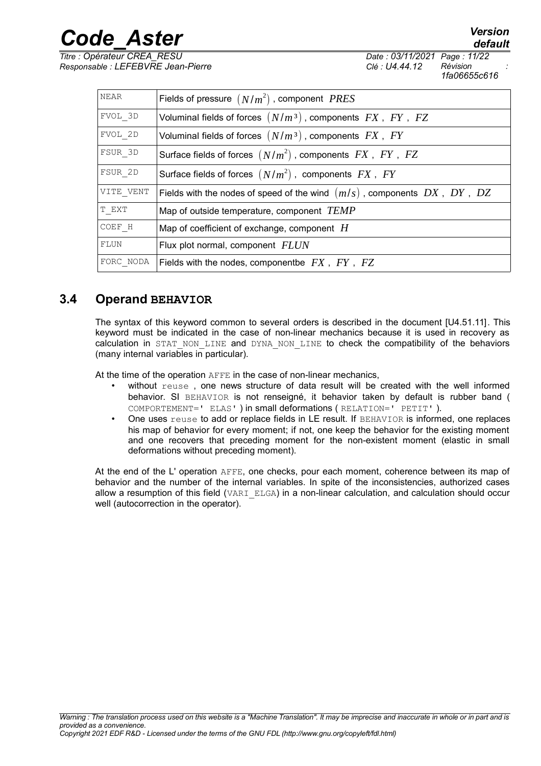*default*

*Code\_Aster Version*

*Titre : Opérateur CREA\_RESU Date : 03/11/2021 Page : 11/22 Responsable : LEFEBVRE Jean-Pierre Clé : U4.44.12 Révision : 1fa06655c616*

| NEAR      | Fields of pressure $(N/m^2)$ , component <i>PRES</i>                       |
|-----------|----------------------------------------------------------------------------|
| FVOL 3D   | Voluminal fields of forces $(N/m^3)$ , components $FX$ , $FY$ , $FZ$       |
| FVOL 2D   | Voluminal fields of forces $(N/m^3)$ , components $FX$ , $FY$              |
| FSUR 3D   | Surface fields of forces $(N/m^2)$ , components $FX$ , $FY$ , $FZ$         |
| FSUR 2D   | Surface fields of forces $(N/m^2)$ , components $FX$ , $FY$                |
| VITE VENT | Fields with the nodes of speed of the wind $(m/s)$ , components DX, DY, DZ |
| T EXT     | Map of outside temperature, component TEMP                                 |
| COEF H    | Map of coefficient of exchange, component $H$                              |
| FLUN      | Flux plot normal, component FLUN                                           |
| FORC NODA | Fields with the nodes, component be $FX$ , $FY$ , $FZ$                     |

### **3.4 Operand BEHAVIOR**

The syntax of this keyword common to several orders is described in the document [U4.51.11]. This keyword must be indicated in the case of non-linear mechanics because it is used in recovery as calculation in STAT\_NON\_LINE and DYNA\_NON\_LINE to check the compatibility of the behaviors (many internal variables in particular).

At the time of the operation AFFE in the case of non-linear mechanics,

- without reuse, one news structure of data result will be created with the well informed behavior. SI BEHAVIOR is not renseigné, it behavior taken by default is rubber band ( COMPORTEMENT=' ELAS' ) in small deformations ( RELATION=' PETIT' ).
- One uses reuse to add or replace fields in LE result. If BEHAVIOR is informed, one replaces his map of behavior for every moment; if not, one keep the behavior for the existing moment and one recovers that preceding moment for the non-existent moment (elastic in small deformations without preceding moment).

At the end of the L' operation AFFE, one checks, pour each moment, coherence between its map of behavior and the number of the internal variables. In spite of the inconsistencies, authorized cases allow a resumption of this field (VARI ELGA) in a non-linear calculation, and calculation should occur well (autocorrection in the operator).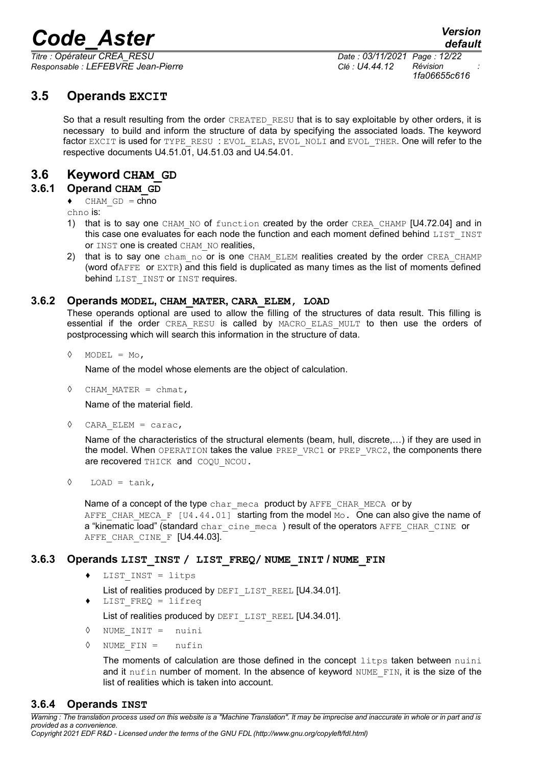*Titre : Opérateur CREA\_RESU Date : 03/11/2021 Page : 12/22 Responsable : LEFEBVRE Jean-Pierre Clé : U4.44.12 Révision :*

*1fa06655c616*

### **3.5 Operands EXCIT**

So that a result resulting from the order CREATED RESU that is to say exploitable by other orders, it is necessary to build and inform the structure of data by specifying the associated loads. The keyword factor EXCIT is used for TYPE\_RESU : EVOL\_ELAS, EVOL\_NOLI and EVOL\_THER. One will refer to the respective documents U4.51.01, U4.51.03 and U4.54.01.

### 3.6 **Keyword CHAM** GD

**3.6.1 Operand CHAM\_GD**

 $\triangleleft$  CHAM GD = chno

chno is:

- 1) that is to say one CHAM NO of function created by the order CREA CHAMP [U4.72.04] and in this case one evaluates for each node the function and each moment defined behind LIST\_INST or INST one is created CHAM\_NO realities,
- 2) that is to say one cham no or is one CHAM ELEM realities created by the order CREA CHAMP (word ofAFFE or EXTR) and this field is duplicated as many times as the list of moments defined behind LIST INST or INST requires.

#### **3.6.2 Operands MODEL, CHAM\_MATER, CARA\_ELEM, LOAD**

These operands optional are used to allow the filling of the structures of data result. This filling is essential if the order CREA RESU is called by MACRO ELAS MULT to then use the orders of postprocessing which will search this information in the structure of data.

 $\Diamond$  MODEL = Mo,

Name of the model whose elements are the object of calculation.

 $\Diamond$  CHAM MATER = chmat,

Name of the material field.

◊ CARA\_ELEM = carac,

Name of the characteristics of the structural elements (beam, hull, discrete,…) if they are used in the model. When OPERATION takes the value PREP\_VRC1 or PREP\_VRC2, the components there are recovered THICK and COQU NCOU.

 $\Diamond$  LOAD = tank,

Name of a concept of the type char meca product by AFFE\_CHAR\_MECA or by AFFE CHAR MECA F  $[U4.44.01]$  starting from the model Mo. One can also give the name of a "kinematic load" (standard char cine meca ) result of the operators AFFE CHAR CINE or AFFE CHAR CINE F [U4.44.03].

#### **3.6.3 Operands LIST\_INST / LIST\_FREQ/ NUME\_INIT / NUME\_FIN**

- ♦ LIST\_INST = litps
	- List of realities produced by DEFI LIST REEL [U4.34.01].
- ♦ LIST\_FREQ = lifreq

List of realities produced by DEFI\_LIST\_REEL [U4.34.01].

- ◊ NUME\_INIT = nuini
- ◊ NUME\_FIN = nufin

The moments of calculation are those defined in the concept litps taken between nuini and it nufin number of moment. In the absence of keyword NUME\_FIN, it is the size of the list of realities which is taken into account.

#### **3.6.4 Operands INST**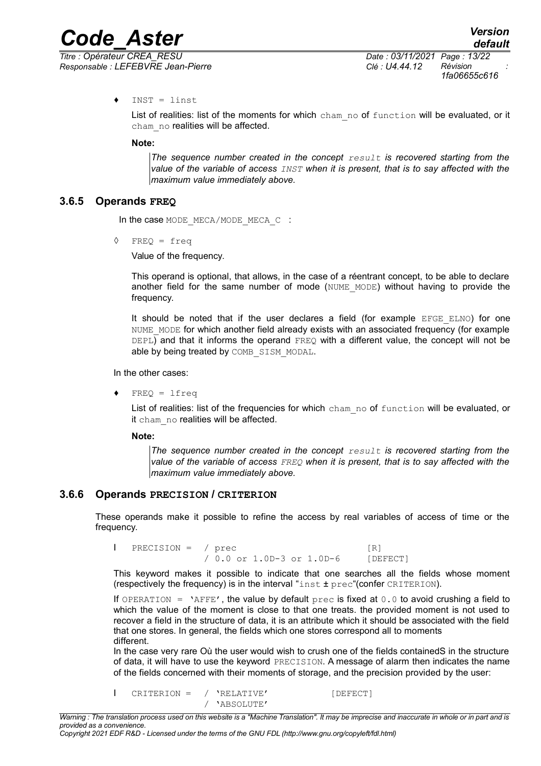*Responsable : LEFEBVRE Jean-Pierre Clé : U4.44.12 Révision :*

*Titre : Opérateur CREA\_RESU Date : 03/11/2021 Page : 13/22 1fa06655c616*

 $INST = 1inst$ 

List of realities: list of the moments for which cham no of function will be evaluated, or it cham\_no realities will be affected.

#### **Note:**

*The sequence number created in the concept result is recovered starting from the value of the variable of access INST when it is present, that is to say affected with the maximum value immediately above.*

#### **3.6.5 Operands FREQ**

In the case MODE\_MECA/MODE\_MECA\_C :

◊ FREQ = freq

Value of the frequency.

This operand is optional, that allows, in the case of a réentrant concept, to be able to declare another field for the same number of mode (NUME\_MODE) without having to provide the frequency.

It should be noted that if the user declares a field (for example EFGE ELNO) for one NUME\_MODE for which another field already exists with an associated frequency (for example DEPL) and that it informs the operand FREQ with a different value, the concept will not be able by being treated by COMB SISM MODAL.

In the other cases:

 $FREQ = Ifreq$ 

List of realities: list of the frequencies for which cham no of function will be evaluated, or it cham no realities will be affected.

**Note:**

*The sequence number created in the concept result is recovered starting from the value of the variable of access FREQ when it is present, that is to say affected with the maximum value immediately above.*

#### **3.6.6 Operands PRECISION / CRITERION**

These operands make it possible to refine the access by real variables of access of time or the frequency.

I PRECISION = / prec [R] / 0.0 or 1.0D-3 or 1.0D-6 [DEFECT]

This keyword makes it possible to indicate that one searches all the fields whose moment (respectively the frequency) is in the interval "inst  $\pm$  prec"(confer CRITERION).

If OPERATION =  $'$ AFFE', the value by default prec is fixed at 0.0 to avoid crushing a field to which the value of the moment is close to that one treats. the provided moment is not used to recover a field in the structure of data, it is an attribute which it should be associated with the field that one stores. In general, the fields which one stores correspond all to moments different.

In the case very rare Où the user would wish to crush one of the fields containedS in the structure of data, it will have to use the keyword PRECISION. A message of alarm then indicates the name of the fields concerned with their moments of storage, and the precision provided by the user:

I CRITERION = / 'RELATIVE' [DEFECT] / 'ABSOLUTE'

*Warning : The translation process used on this website is a "Machine Translation". It may be imprecise and inaccurate in whole or in part and is provided as a convenience.*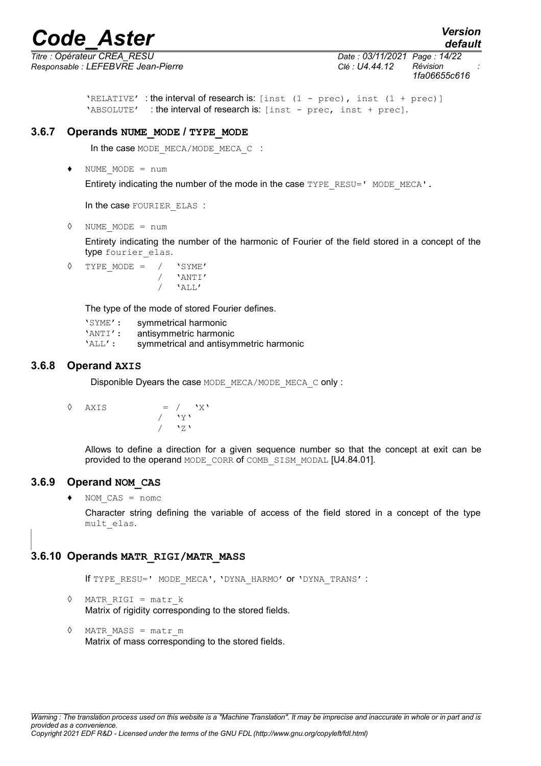*Titre : Opérateur CREA\_RESU Date : 03/11/2021 Page : 14/22 Responsable : LEFEBVRE Jean-Pierre Clé : U4.44.12 Révision :*

*default 1fa06655c616*

'RELATIVE' : the interval of research is: [inst (1 - prec), inst (1 + prec)] 'ABSOLUTE' : the interval of research is: [inst - prec, inst + prec].

#### **3.6.7 Operands NUME\_MODE / TYPE\_MODE**

In the case MODE\_MECA/MODE\_MECA\_C :

♦ NUME\_MODE = num

Entirety indicating the number of the mode in the case TYPE\_RESU=' MODE\_MECA'.

In the case FOURIER ELAS :

◊ NUME\_MODE = num

Entirety indicating the number of the harmonic of Fourier of the field stored in a concept of the type fourier elas.

◊ TYPE\_MODE = / 'SYME' / 'ANTI' / 'ALL'

The type of the mode of stored Fourier defines.

'SYME': symmetrical harmonic 'ANTI': antisymmetric harmonic 'ALL': symmetrical and antisymmetric harmonic

#### **3.6.8 Operand AXIS**

Disponible Dyears the case MODE\_MECA/MODE\_MECA\_C only :

 $\Diamond$  AXIS = / **'**X'  $'Y'$  $/$   $'Z'$ 

> Allows to define a direction for a given sequence number so that the concept at exit can be provided to the operand MODE\_CORR of COMB\_SISM\_MODAL [U4.84.01].

#### **3.6.9 Operand NOM\_CAS**

 $NOM CAS = nomc$ 

Character string defining the variable of access of the field stored in a concept of the type mult\_elas.

#### **3.6.10 Operands MATR\_RIGI/MATR\_MASS**

If TYPE\_RESU=' MODE\_MECA', 'DYNA\_HARMO' or 'DYNA\_TRANS' :

- ◊ MATR\_RIGI = matr\_k Matrix of rigidity corresponding to the stored fields.
- ◊ MATR\_MASS = matr\_m Matrix of mass corresponding to the stored fields.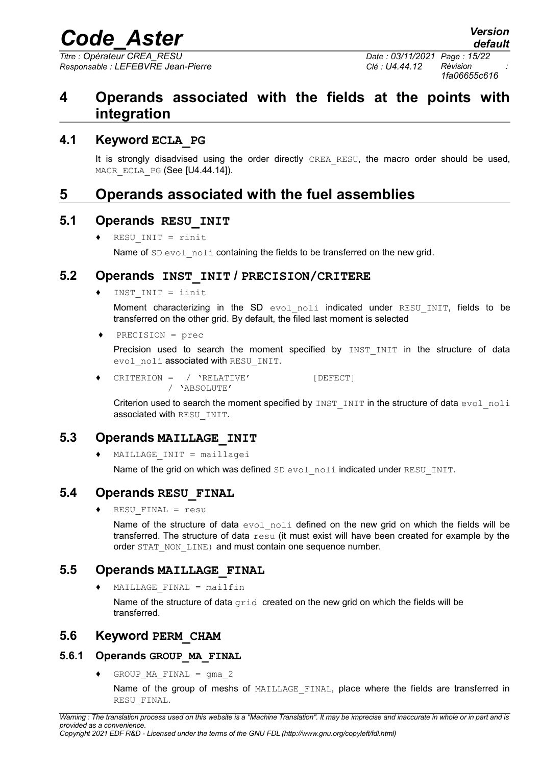*Titre : Opérateur CREA\_RESU Date : 03/11/2021 Page : 15/22 Responsable : LEFEBVRE Jean-Pierre Clé : U4.44.12 Révision :*

*1fa06655c616*

## **4 Operands associated with the fields at the points with integration**

#### **4.1 Keyword ECLA\_PG**

It is strongly disadvised using the order directly CREA RESU, the macro order should be used, MACR ECLA PG (See [U4.44.14]).

## **5 Operands associated with the fuel assemblies**

### **5.1 Operands RESU\_INIT**

 $RESU$  INIT = rinit

Name of SD evol noli containing the fields to be transferred on the new grid.

#### **5.2 Operands INST\_INIT / PRECISION/CRITERE**

♦ INST\_INIT = iinit

Moment characterizing in the SD evol noli indicated under RESU INIT, fields to be transferred on the other grid. By default, the filed last moment is selected

♦ PRECISION = prec

Precision used to search the moment specified by INST INIT in the structure of data evol noli associated with RESU INIT.

 $CRITERION = / 'RELATIVE'$  [DEFECT] / 'ABSOLUTE'

Criterion used to search the moment specified by INST INIT in the structure of data evol noli associated with RESU INIT.

#### **5.3 Operands MAILLAGE\_INIT**

♦ MAILLAGE\_INIT = maillagei

Name of the grid on which was defined SD evol noli indicated under RESU INIT.

#### **5.4 Operands RESU\_FINAL**

♦ RESU\_FINAL = resu

Name of the structure of data evol noli defined on the new grid on which the fields will be transferred. The structure of data  $resu$  (it must exist will have been created for example by the order STAT\_NON\_LINE) and must contain one sequence number.

#### **5.5 Operands MAILLAGE\_FINAL**

♦ MAILLAGE\_FINAL = mailfin

Name of the structure of data  $grid$  created on the new grid on which the fields will be transferred.

#### **5.6 Keyword PERM\_CHAM**

#### **5.6.1 Operands GROUP\_MA\_FINAL**

 $GROUP$  MA FINAL = gma 2

Name of the group of meshs of MAILLAGE FINAL, place where the fields are transferred in RESU\_FINAL.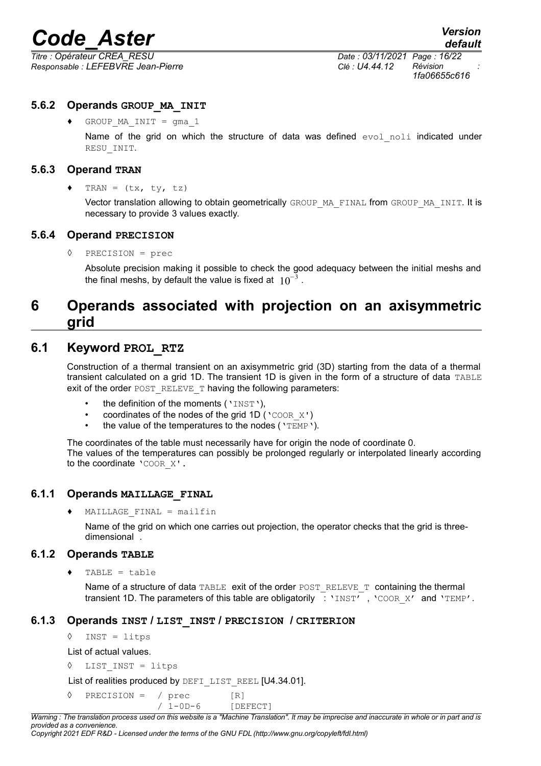*Responsable : LEFEBVRE Jean-Pierre Clé : U4.44.12 Révision :*

*Titre : Opérateur CREA\_RESU Date : 03/11/2021 Page : 16/22 1fa06655c616*

#### **5.6.2 Operands GROUP\_MA\_INIT**

GROUP MA INIT = gma $1$ 

Name of the grid on which the structure of data was defined evol noli indicated under RESU\_INIT.

#### **5.6.3 Operand TRAN**

 $\triangleleft$  TRAN = (tx, ty, tz)

Vector translation allowing to obtain geometrically GROUP\_MA\_FINAL from GROUP\_MA\_INIT. It is necessary to provide 3 values exactly.

#### **5.6.4 Operand PRECISION**

◊ PRECISION = prec

Absolute precision making it possible to check the good adequacy between the initial meshs and the final meshs, by default the value is fixed at  $10^{-3}$ .

### **6 Operands associated with projection on an axisymmetric grid**

#### **6.1 Keyword PROL\_RTZ**

Construction of a thermal transient on an axisymmetric grid (3D) starting from the data of a thermal transient calculated on a grid 1D. The transient 1D is given in the form of a structure of data TABLE exit of the order POST\_RELEVE\_T having the following parameters:

- the definition of the moments  $('INST')$ ,
- coordinates of the nodes of the grid 1D ( $\text{COR } X'$ )
- the value of the temperatures to the nodes ( $YTEMP Y$ ).

The coordinates of the table must necessarily have for origin the node of coordinate 0. The values of the temperatures can possibly be prolonged regularly or interpolated linearly according to the coordinate 'COOR X'.

#### **6.1.1 Operands MAILLAGE\_FINAL**

 $MAILLAGE$  FINAL = mailfin

Name of the grid on which one carries out projection, the operator checks that the grid is threedimensional .

#### **6.1.2 Operands TABLE**

♦ TABLE = table

Name of a structure of data TABLE exit of the order POST\_RELEVE\_T\_containing the thermal transient 1D. The parameters of this table are obligatorily : 'INST', 'COOR X' and 'TEMP'.

#### **6.1.3 Operands INST / LIST\_INST / PRECISION / CRITERION**

◊ INST = litps

```
List of actual values.
```

```
◊ LIST_INST = litps
```
List of realities produced by DEFI LIST REEL [U4.34.01].

◊ PRECISION = / prec [R] / 1-0D-6 [DEFECT]

*Warning : The translation process used on this website is a "Machine Translation". It may be imprecise and inaccurate in whole or in part and is provided as a convenience.*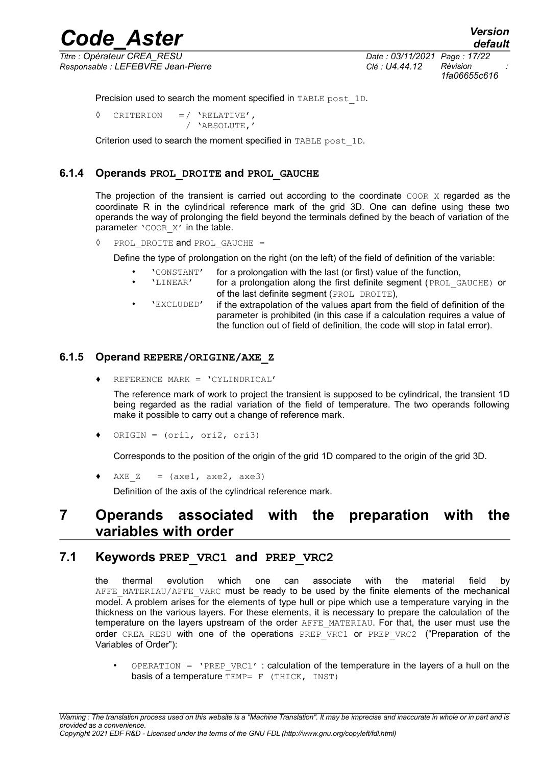*Responsable : LEFEBVRE Jean-Pierre Clé : U4.44.12 Révision :*

Precision used to search the moment specified in TABLE post\_1D.

 $\Diamond$  CRITERION =/ 'RELATIVE', / 'ABSOLUTE,'

Criterion used to search the moment specified in TABLE post 1D.

#### **6.1.4 Operands PROL\_DROITE and PROL\_GAUCHE**

The projection of the transient is carried out according to the coordinate  $COORX$  regarded as the coordinate R in the cylindrical reference mark of the grid 3D. One can define using these two operands the way of prolonging the field beyond the terminals defined by the beach of variation of the parameter 'COOR X' in the table.

◊ PROL\_DROITE and PROL\_GAUCHE =

Define the type of prolongation on the right (on the left) of the field of definition of the variable:

- 'CONSTANT' for a prolongation with the last (or first) value of the function,
	- 'LINEAR' for a prolongation along the first definite segment (PROL GAUCHE) or of the last definite segment (PROL\_DROITE),
- 'EXCLUDED' if the extrapolation of the values apart from the field of definition of the parameter is prohibited (in this case if a calculation requires a value of the function out of field of definition, the code will stop in fatal error).

#### **6.1.5 Operand REPERE/ORIGINE/AXE\_Z**

REFERENCE MARK = 'CYLINDRICAL'

The reference mark of work to project the transient is supposed to be cylindrical, the transient 1D being regarded as the radial variation of the field of temperature. The two operands following make it possible to carry out a change of reference mark.

♦ ORIGIN = (ori1, ori2, ori3)

Corresponds to the position of the origin of the grid 1D compared to the origin of the grid 3D.

AXE  $Z = (axel, axe2, axe3)$ 

Definition of the axis of the cylindrical reference mark.

## **7 Operands associated with the preparation with the variables with order**

#### **7.1 Keywords PREP\_VRC1 and PREP\_VRC2**

the thermal evolution which one can associate with the material field by AFFE\_MATERIAU/AFFE\_VARC\_must be ready to be used by the finite elements of the mechanical model. A problem arises for the elements of type hull or pipe which use a temperature varying in the thickness on the various layers. For these elements, it is necessary to prepare the calculation of the temperature on the layers upstream of the order AFFE\_MATERIAU. For that, the user must use the order CREA RESU with one of the operations PREP\_VRC1 or PREP\_VRC2 ("Preparation of the Variables of Order"):

 $\Omega$ PERATION = 'PREP VRC1' : calculation of the temperature in the layers of a hull on the basis of a temperature  $TEMP = F$  (THICK, INST)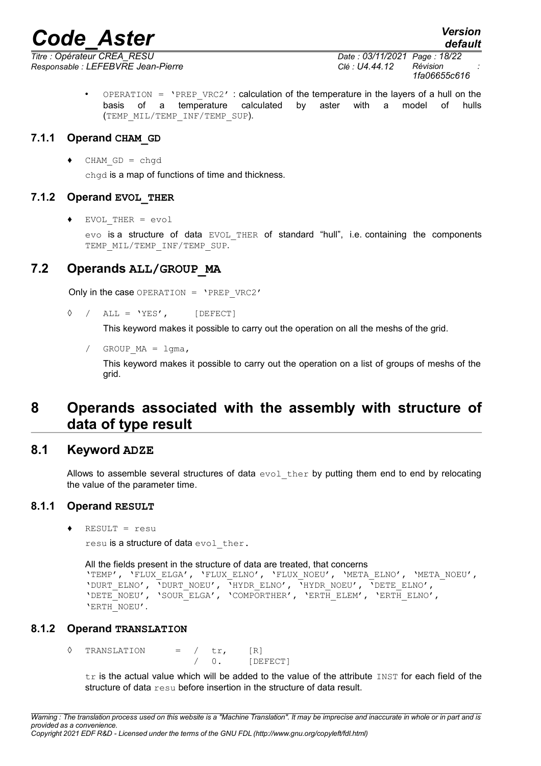*Responsable : LEFEBVRE Jean-Pierre Clé : U4.44.12 Révision :*

*Titre : Opérateur CREA\_RESU Date : 03/11/2021 Page : 18/22 1fa06655c616*

*default*

 $OPERATION = 'PREP VRC2'$  : calculation of the temperature in the layers of a hull on the basis of a temperature calculated by aster with a model of hulls (TEMP\_MIL/TEMP\_INF/TEMP\_SUP).

#### **7.1.1 Operand CHAM\_GD**

 $\bullet$  CHAM GD = chgd

chgd is a map of functions of time and thickness.

#### **7.1.2 Operand EVOL\_THER**

♦ EVOL\_THER = evol

evo is a structure of data EVOL THER of standard "hull", i.e. containing the components TEMP\_MIL/TEMP\_INF/TEMP\_SUP.

#### **7.2 Operands ALL/GROUP\_MA**

Only in the case OPERATION =  $'PREP$  VRC2'

 $\Diamond$  / ALL = 'YES', [DEFECT]

This keyword makes it possible to carry out the operation on all the meshs of the grid.

/  $GROUPMA = 1gma$ ,

This keyword makes it possible to carry out the operation on a list of groups of meshs of the grid.

## **8 Operands associated with the assembly with structure of data of type result**

#### **8.1 Keyword ADZE**

Allows to assemble several structures of data evol ther by putting them end to end by relocating the value of the parameter time.

#### **8.1.1 Operand RESULT**

 $RESULT = result$ 

resu is a structure of data evol ther.

All the fields present in the structure of data are treated, that concerns

```
'TEMP', 'FLUX_ELGA', 'FLUX_ELNO', 'FLUX_NOEU', 'META_ELNO', 'META_NOEU',
'DURT_ELNO', 'DURT_NOEU', 'HYDR_ELNO', 'HYDR_NOEU', 'DETE_ELNO',
'DETE_NOEU', 'SOUR_ELGA', 'COMPORTHER', 'ERTH_ELEM', 'ERTH_ELNO',
'ERTH_NOEU'.
```
#### **8.1.2 Operand TRANSLATION**

 $\Diamond$  TRANSLATION = / tr, [R] 0. [DEFECT]

 $tr$  is the actual value which will be added to the value of the attribute INST for each field of the structure of data resu before insertion in the structure of data result.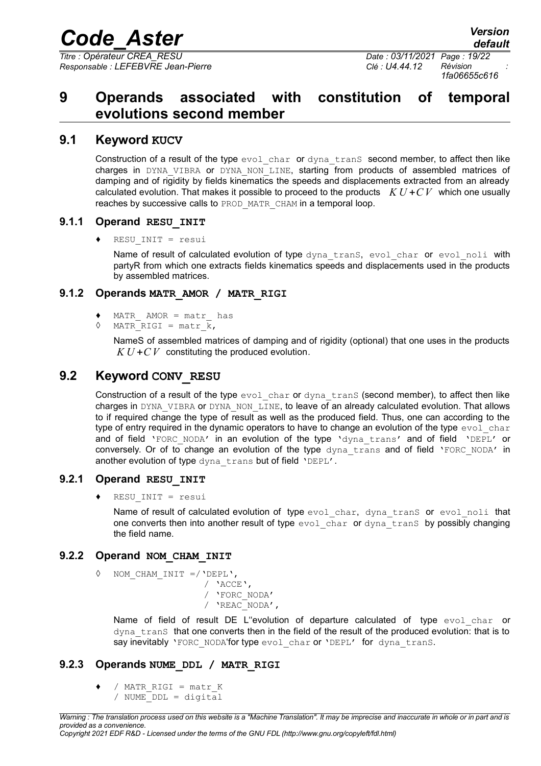*Titre : Opérateur CREA\_RESU Date : 03/11/2021 Page : 19/22 Responsable : LEFEBVRE Jean-Pierre Clé : U4.44.12 Révision :*

*1fa06655c616*

## **9 Operands associated with constitution of temporal evolutions second member**

#### **9.1 Keyword KUCV**

Construction of a result of the type evol char or dyna tranS second member, to affect then like charges in DYNA VIBRA or DYNA NON LINE, starting from products of assembled matrices of damping and of rigidity by fields kinematics the speeds and displacements extracted from an already calculated evolution. That makes it possible to proceed to the products  $KU+CV$  which one usually reaches by successive calls to PROD MATR CHAM in a temporal loop.

#### **9.1.1 Operand RESU\_INIT**

♦ RESU\_INIT = resui

Name of result of calculated evolution of type dyna tranS, evol char or evol noli with partyR from which one extracts fields kinematics speeds and displacements used in the products by assembled matrices.

#### **9.1.2 Operands MATR\_AMOR / MATR\_RIGI**

- ♦ MATR\_ AMOR = matr\_ has
- $\Diamond$  MATR RIGI = matr k,

NameS of assembled matrices of damping and of rigidity (optional) that one uses in the products  $K U + C V$  constituting the produced evolution.

#### **9.2 Keyword CONV\_RESU**

Construction of a result of the type evol char or dyna tranS (second member), to affect then like charges in DYNA\_VIBRA or DYNA\_NON\_LINE, to leave of an already calculated evolution. That allows to if required change the type of result as well as the produced field. Thus, one can according to the type of entry required in the dynamic operators to have to change an evolution of the type  $evol$  char and of field 'FORC\_NODA' in an evolution of the type 'dyna\_trans' and of field 'DEPL' or conversely. Or of to change an evolution of the type dyna trans and of field 'FORC NODA' in another evolution of type dyna trans but of field 'DEPL'.

#### **9.2.1 Operand RESU\_INIT**

 $RESU$  INIT = resui

Name of result of calculated evolution of type evol char, dyna tranS or evol noli that one converts then into another result of type  $evol$  char or dyna tranS by possibly changing the field name.

#### **9.2.2 Operand NOM\_CHAM\_INIT**

- ◊ NOM\_CHAM\_INIT =/'DEPL',
	- / 'ACCE', / 'FORC\_NODA' / 'REAC\_NODA',

Name of field of result DE L"evolution of departure calculated of type evol char or dyna tranS that one converts then in the field of the result of the produced evolution: that is to say inevitably 'FORC\_NODA'for type evol\_char or 'DEPL' for dyna\_tranS.

#### **9.2.3 Operands NUME\_DDL / MATR\_RIGI**

/ MATR RIGI = matr K / NUME  $DDL =$  digital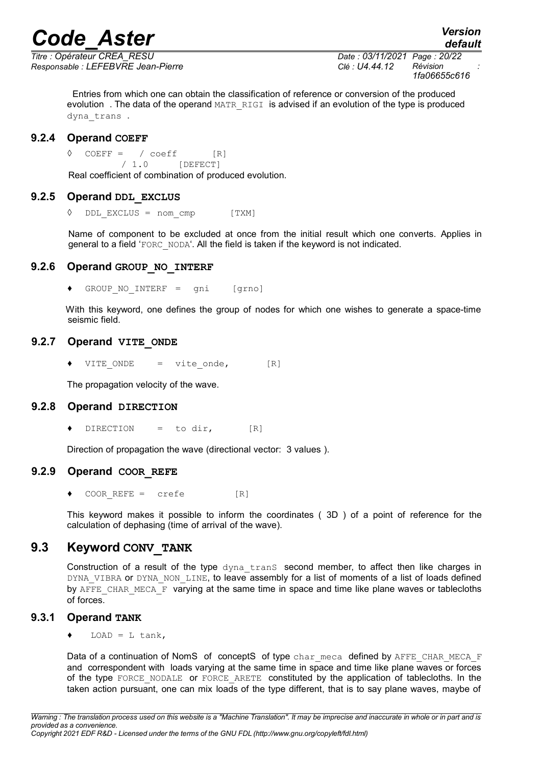*Responsable : LEFEBVRE Jean-Pierre Clé : U4.44.12 Révision :*

*Titre : Opérateur CREA\_RESU Date : 03/11/2021 Page : 20/22 1fa06655c616*

*default*

Entries from which one can obtain the classification of reference or conversion of the produced evolution. The data of the operand MATR\_RIGI is advised if an evolution of the type is produced dyna trans .

#### **9.2.4 Operand COEFF**

 $COEFF = / Coeff$  [R] / 1.0 [DEFECT] Real coefficient of combination of produced evolution.

#### **9.2.5 Operand DDL\_EXCLUS**

◊ DDL\_EXCLUS = nom\_cmp [TXM]

Name of component to be excluded at once from the initial result which one converts. Applies in general to a field 'FORC\_NODA'. All the field is taken if the keyword is not indicated.

#### **9.2.6 Operand GROUP\_NO\_INTERF**

 $GROUP NO INTERF = qni [qrno]$ 

With this keyword, one defines the group of nodes for which one wishes to generate a space-time seismic field.

#### **9.2.7 Operand VITE\_ONDE**

 $\bullet$  VITE ONDE = vite onde, [R]

The propagation velocity of the wave.

#### **9.2.8 Operand DIRECTION**

 $DIRECTION = to dir, [R]$ 

Direction of propagation the wave (directional vector: 3 values ).

#### **9.2.9 Operand COOR\_REFE**

 $\bullet$  COOR REFE = crefe [R]

This keyword makes it possible to inform the coordinates ( 3D ) of a point of reference for the calculation of dephasing (time of arrival of the wave).

#### **9.3 Keyword CONV\_TANK**

Construction of a result of the type dyna tranS second member, to affect then like charges in DYNA\_VIBRA OF DYNA\_NON\_LINE, to leave assembly for a list of moments of a list of loads defined by AFFE\_CHAR\_MECA\_F\_varying at the same time in space and time like plane waves or tablecloths of forces.

#### **9.3.1 Operand TANK**

 $LOAD = L$  tank,

Data of a continuation of NomS of conceptS of type char meca defined by AFFE CHAR MECA F and correspondent with loads varying at the same time in space and time like plane waves or forces of the type FORCE\_NODALE or FORCE\_ARETE constituted by the application of tablecloths. In the taken action pursuant, one can mix loads of the type different, that is to say plane waves, maybe of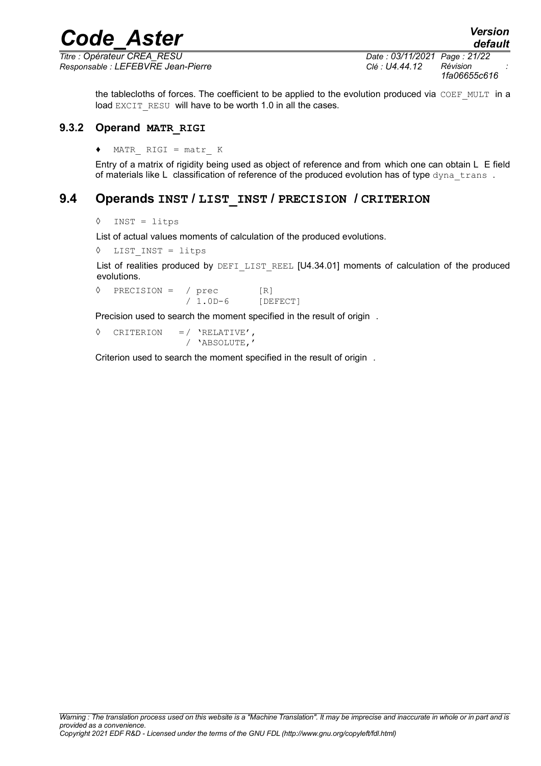*Responsable : LEFEBVRE Jean-Pierre Clé : U4.44.12 Révision :*

*Titre : Opérateur CREA\_RESU Date : 03/11/2021 Page : 21/22 1fa06655c616*

*default*

the tablecloths of forces. The coefficient to be applied to the evolution produced via COEF\_MULT in a load EXCIT\_RESU will have to be worth 1.0 in all the cases.

### **9.3.2 Operand MATR\_RIGI**

♦ MATR\_ RIGI = matr\_ K

Entry of a matrix of rigidity being used as object of reference and from which one can obtain L E field of materials like L classification of reference of the produced evolution has of type dyna trans.

### **9.4 Operands INST / LIST\_INST / PRECISION / CRITERION**

◊ INST = litps

List of actual values moments of calculation of the produced evolutions.

◊ LIST\_INST = litps

List of realities produced by DEFILIST REEL [U4.34.01] moments of calculation of the produced evolutions.

 $\Diamond$  PRECISION = / prec [R] / 1.0D-6 [DEFECT]

Precision used to search the moment specified in the result of origin .

 $\Diamond$  CRITERION =/ 'RELATIVE', / 'ABSOLUTE,'

Criterion used to search the moment specified in the result of origin .